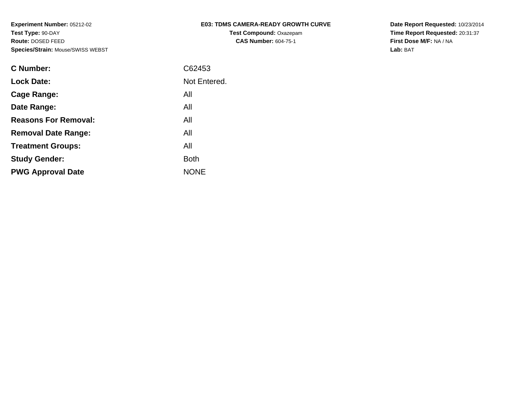| <b>E03: TDMS CAMERA-READY GROWTH CURVE</b> |
|--------------------------------------------|
| <b>Test Compound: Oxazepam</b>             |
| <b>CAS Number: 604-75-1</b>                |

**Date Report Requested:** 10/23/2014 **Time Report Requested:** 20:31:37**First Dose M/F:** NA / NA**Lab:** BAT

| <b>C</b> Number:            | C62453       |
|-----------------------------|--------------|
| <b>Lock Date:</b>           | Not Entered. |
| Cage Range:                 | All          |
| Date Range:                 | All          |
| <b>Reasons For Removal:</b> | All          |
| <b>Removal Date Range:</b>  | All          |
| <b>Treatment Groups:</b>    | All          |
| <b>Study Gender:</b>        | <b>Both</b>  |
| <b>PWG Approval Date</b>    | <b>NONE</b>  |
|                             |              |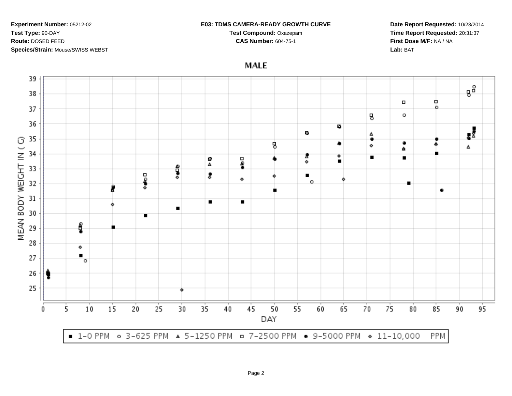#### **E03: TDMS CAMERA-READY GROWTH CURVE**

**Test Compound:** Oxazepam**CAS Number:** 604-75-1

**Date Report Requested:** 10/23/2014**Time Report Requested:** 20:31:37**First Dose M/F:** NA / NA**Lab:** BAT

**MALE** 

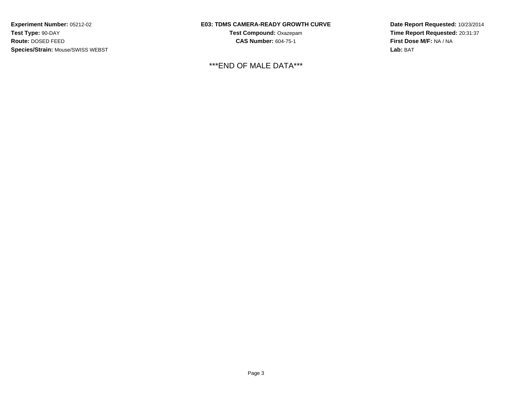## **E03: TDMS CAMERA-READY GROWTH CURVE**

**Test Compound:** Oxazepam**CAS Number:** 604-75-1

\*\*\*END OF MALE DATA\*\*\*

**Date Report Requested:** 10/23/2014**Time Report Requested:** 20:31:37**First Dose M/F:** NA / NA**Lab:** BAT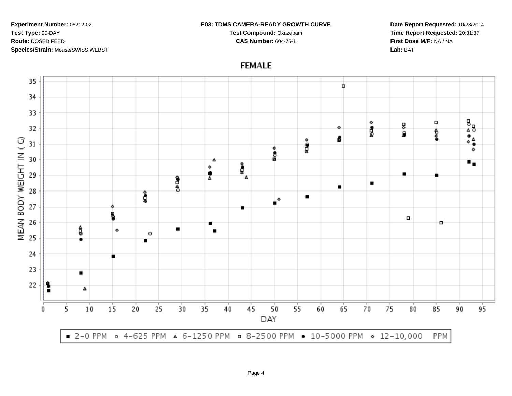#### **E03: TDMS CAMERA-READY GROWTH CURVE**

**Test Compound:** Oxazepam**CAS Number:** 604-75-1

**Date Report Requested:** 10/23/2014**Time Report Requested:** 20:31:37**First Dose M/F:** NA / NA**Lab:** BAT



# **FEMALE**